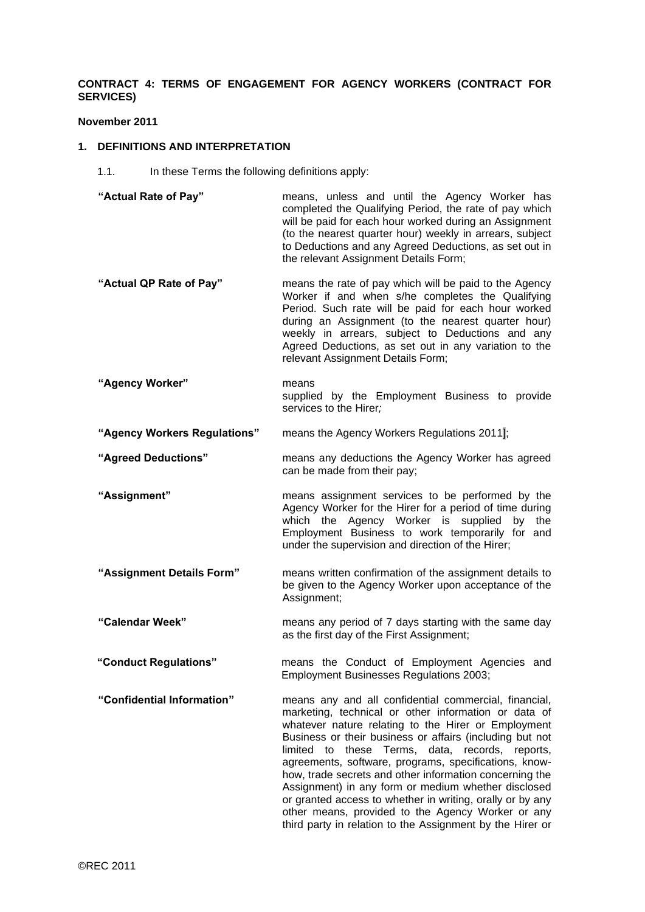# **CONTRACT 4: TERMS OF ENGAGEMENT FOR AGENCY WORKERS (CONTRACT FOR SERVICES)**

#### **November 2011**

### **1. DEFINITIONS AND INTERPRETATION**

- 1.1. In these Terms the following definitions apply:
- **"Actual Rate of Pay"** means, unless and until the Agency Worker has completed the Qualifying Period, the rate of pay which will be paid for each hour worked during an Assignment (to the nearest quarter hour) weekly in arrears, subject to Deductions and any Agreed Deductions, as set out in the relevant Assignment Details Form;
- **"Actual QP Rate of Pay"** means the rate of pay which will be paid to the Agency Worker if and when s/he completes the Qualifying Period. Such rate will be paid for each hour worked during an Assignment (to the nearest quarter hour) weekly in arrears, subject to Deductions and any Agreed Deductions, as set out in any variation to the relevant Assignment Details Form;
- **"Agency Worker"** means supplied by the Employment Business to provide services to the Hirer*;*
- **"Agency Workers Regulations"** means the Agency Workers Regulations 2011];
- **"Agreed Deductions"** means any deductions the Agency Worker has agreed can be made from their pay;
- **"Assignment"** means assignment services to be performed by the Agency Worker for the Hirer for a period of time during which the Agency Worker is supplied by the Employment Business to work temporarily for and under the supervision and direction of the Hirer;
- **"Assignment Details Form"** means written confirmation of the assignment details to be given to the Agency Worker upon acceptance of the Assignment;
- **"Calendar Week"** means any period of 7 days starting with the same day as the first day of the First Assignment;
- **"Conduct Regulations"** means the Conduct of Employment Agencies and Employment Businesses Regulations 2003;
- **"Confidential Information"** means any and all confidential commercial, financial, marketing, technical or other information or data of whatever nature relating to the Hirer or Employment Business or their business or affairs (including but not limited to these Terms, data, records, reports, agreements, software, programs, specifications, knowhow, trade secrets and other information concerning the Assignment) in any form or medium whether disclosed or granted access to whether in writing, orally or by any other means, provided to the Agency Worker or any third party in relation to the Assignment by the Hirer or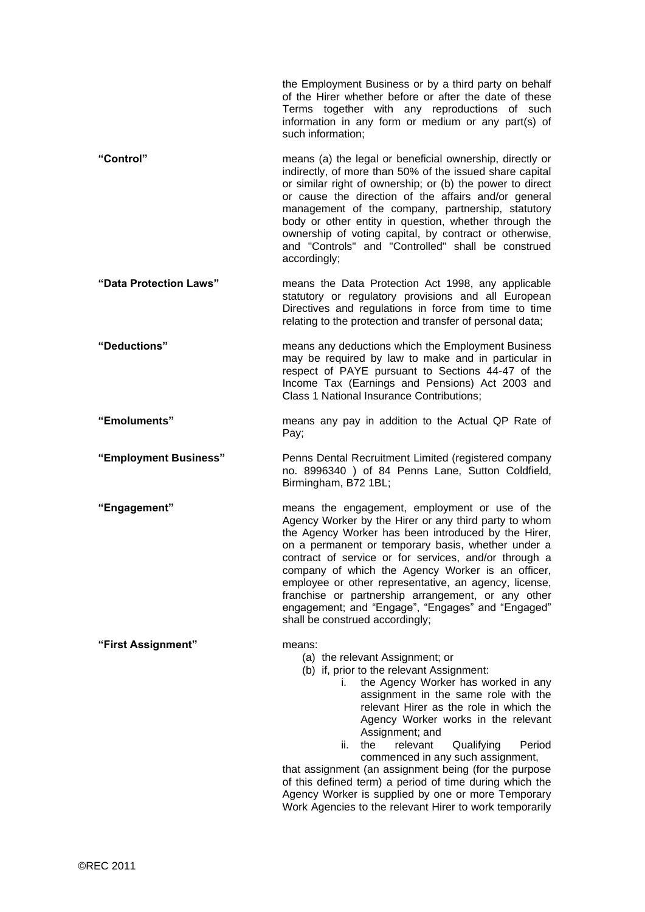|                        | the Employment Business or by a third party on behalf<br>of the Hirer whether before or after the date of these<br>Terms together with any reproductions of such<br>information in any form or medium or any part(s) of<br>such information;                                                                                                                                                                                                                                                                                                      |
|------------------------|---------------------------------------------------------------------------------------------------------------------------------------------------------------------------------------------------------------------------------------------------------------------------------------------------------------------------------------------------------------------------------------------------------------------------------------------------------------------------------------------------------------------------------------------------|
| "Control"              | means (a) the legal or beneficial ownership, directly or<br>indirectly, of more than 50% of the issued share capital<br>or similar right of ownership; or (b) the power to direct<br>or cause the direction of the affairs and/or general<br>management of the company, partnership, statutory<br>body or other entity in question, whether through the<br>ownership of voting capital, by contract or otherwise,<br>and "Controls" and "Controlled" shall be construed<br>accordingly;                                                           |
| "Data Protection Laws" | means the Data Protection Act 1998, any applicable<br>statutory or regulatory provisions and all European<br>Directives and regulations in force from time to time<br>relating to the protection and transfer of personal data;                                                                                                                                                                                                                                                                                                                   |
| "Deductions"           | means any deductions which the Employment Business<br>may be required by law to make and in particular in<br>respect of PAYE pursuant to Sections 44-47 of the<br>Income Tax (Earnings and Pensions) Act 2003 and<br><b>Class 1 National Insurance Contributions;</b>                                                                                                                                                                                                                                                                             |
| "Emoluments"           | means any pay in addition to the Actual QP Rate of<br>Pay;                                                                                                                                                                                                                                                                                                                                                                                                                                                                                        |
| "Employment Business"  | Penns Dental Recruitment Limited (registered company<br>no. 8996340 ) of 84 Penns Lane, Sutton Coldfield,<br>Birmingham, B72 1BL;                                                                                                                                                                                                                                                                                                                                                                                                                 |
| "Engagement"           | means the engagement, employment or use of the<br>Agency Worker by the Hirer or any third party to whom<br>the Agency Worker has been introduced by the Hirer,<br>on a permanent or temporary basis, whether under a<br>contract of service or for services, and/or through a<br>company of which the Agency Worker is an officer,<br>employee or other representative, an agency, license,<br>franchise or partnership arrangement, or any other<br>engagement; and "Engage", "Engages" and "Engaged"<br>shall be construed accordingly;         |
| "First Assignment"     | means:<br>(a) the relevant Assignment; or<br>(b) if, prior to the relevant Assignment:<br>the Agency Worker has worked in any<br>İ.<br>assignment in the same role with the<br>relevant Hirer as the role in which the<br>Agency Worker works in the relevant<br>Assignment; and<br>relevant<br>ii.<br>the<br>Qualifying<br>Period<br>commenced in any such assignment,<br>that assignment (an assignment being (for the purpose<br>of this defined term) a period of time during which the<br>Agency Worker is supplied by one or more Temporary |

Work Agencies to the relevant Hirer to work temporarily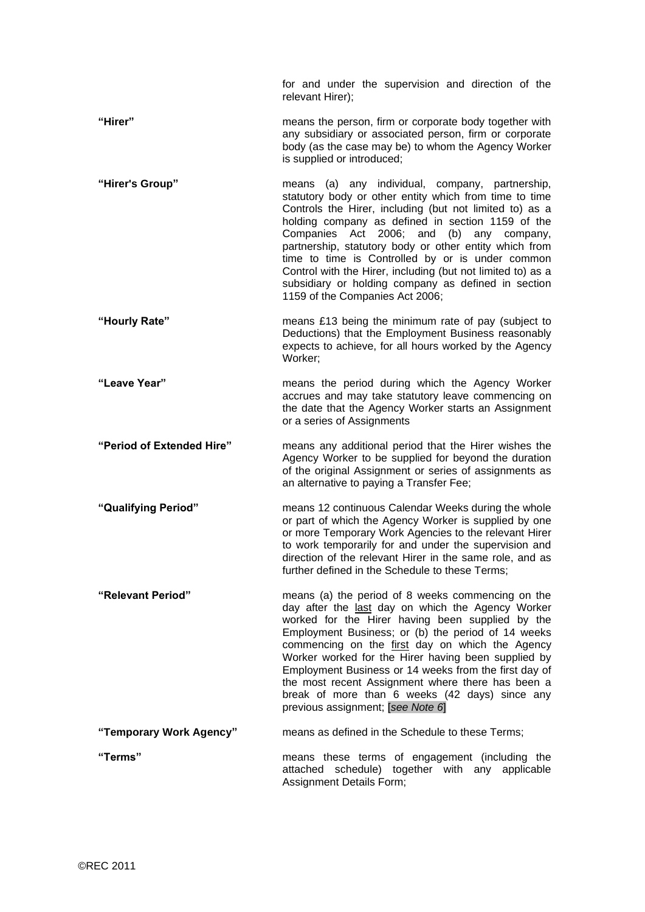|                           | for and under the supervision and direction of the<br>relevant Hirer);                                                                                                                                                                                                                                                                                                                                                                                                                                                                                   |
|---------------------------|----------------------------------------------------------------------------------------------------------------------------------------------------------------------------------------------------------------------------------------------------------------------------------------------------------------------------------------------------------------------------------------------------------------------------------------------------------------------------------------------------------------------------------------------------------|
| "Hirer"                   | means the person, firm or corporate body together with<br>any subsidiary or associated person, firm or corporate<br>body (as the case may be) to whom the Agency Worker<br>is supplied or introduced;                                                                                                                                                                                                                                                                                                                                                    |
| "Hirer's Group"           | means (a) any individual, company, partnership,<br>statutory body or other entity which from time to time<br>Controls the Hirer, including (but not limited to) as a<br>holding company as defined in section 1159 of the<br>Companies Act 2006;<br>and<br>(b)<br>any<br>company,<br>partnership, statutory body or other entity which from<br>time to time is Controlled by or is under common<br>Control with the Hirer, including (but not limited to) as a<br>subsidiary or holding company as defined in section<br>1159 of the Companies Act 2006; |
| "Hourly Rate"             | means £13 being the minimum rate of pay (subject to<br>Deductions) that the Employment Business reasonably<br>expects to achieve, for all hours worked by the Agency<br>Worker;                                                                                                                                                                                                                                                                                                                                                                          |
| "Leave Year"              | means the period during which the Agency Worker<br>accrues and may take statutory leave commencing on<br>the date that the Agency Worker starts an Assignment<br>or a series of Assignments                                                                                                                                                                                                                                                                                                                                                              |
| "Period of Extended Hire" | means any additional period that the Hirer wishes the<br>Agency Worker to be supplied for beyond the duration<br>of the original Assignment or series of assignments as<br>an alternative to paying a Transfer Fee;                                                                                                                                                                                                                                                                                                                                      |
| "Qualifying Period"       | means 12 continuous Calendar Weeks during the whole<br>or part of which the Agency Worker is supplied by one<br>or more Temporary Work Agencies to the relevant Hirer<br>to work temporarily for and under the supervision and<br>direction of the relevant Hirer in the same role, and as<br>further defined in the Schedule to these Terms;                                                                                                                                                                                                            |
| "Relevant Period"         | means (a) the period of 8 weeks commencing on the<br>day after the last day on which the Agency Worker<br>worked for the Hirer having been supplied by the<br>Employment Business; or (b) the period of 14 weeks<br>commencing on the first day on which the Agency<br>Worker worked for the Hirer having been supplied by<br>Employment Business or 14 weeks from the first day of<br>the most recent Assignment where there has been a<br>break of more than 6 weeks (42 days) since any<br>previous assignment; [see Note 6]                          |
| "Temporary Work Agency"   | means as defined in the Schedule to these Terms;                                                                                                                                                                                                                                                                                                                                                                                                                                                                                                         |
| "Terms"                   | means these terms of engagement (including the<br>attached schedule) together with any applicable<br>Assignment Details Form;                                                                                                                                                                                                                                                                                                                                                                                                                            |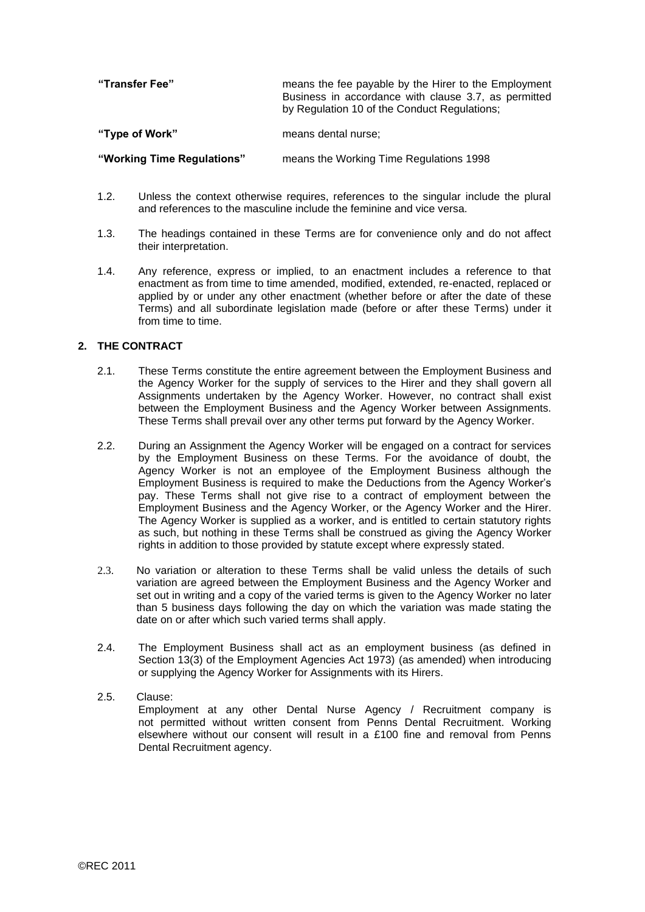| "Transfer Fee"             | means the fee payable by the Hirer to the Employment<br>Business in accordance with clause 3.7, as permitted<br>by Regulation 10 of the Conduct Regulations; |
|----------------------------|--------------------------------------------------------------------------------------------------------------------------------------------------------------|
| "Type of Work"             | means dental nurse;                                                                                                                                          |
| "Working Time Regulations" | means the Working Time Regulations 1998                                                                                                                      |

- 1.2. Unless the context otherwise requires, references to the singular include the plural and references to the masculine include the feminine and vice versa.
- 1.3. The headings contained in these Terms are for convenience only and do not affect their interpretation.
- 1.4. Any reference, express or implied, to an enactment includes a reference to that enactment as from time to time amended, modified, extended, re-enacted, replaced or applied by or under any other enactment (whether before or after the date of these Terms) and all subordinate legislation made (before or after these Terms) under it from time to time.

# **2. THE CONTRACT**

- 2.1. These Terms constitute the entire agreement between the Employment Business and the Agency Worker for the supply of services to the Hirer and they shall govern all Assignments undertaken by the Agency Worker. However, no contract shall exist between the Employment Business and the Agency Worker between Assignments. These Terms shall prevail over any other terms put forward by the Agency Worker.
- 2.2. During an Assignment the Agency Worker will be engaged on a contract for services by the Employment Business on these Terms. For the avoidance of doubt, the Agency Worker is not an employee of the Employment Business although the Employment Business is required to make the Deductions from the Agency Worker's pay. These Terms shall not give rise to a contract of employment between the Employment Business and the Agency Worker, or the Agency Worker and the Hirer. The Agency Worker is supplied as a worker, and is entitled to certain statutory rights as such, but nothing in these Terms shall be construed as giving the Agency Worker rights in addition to those provided by statute except where expressly stated.
- 2.3. No variation or alteration to these Terms shall be valid unless the details of such variation are agreed between the Employment Business and the Agency Worker and set out in writing and a copy of the varied terms is given to the Agency Worker no later than 5 business days following the day on which the variation was made stating the date on or after which such varied terms shall apply.
- 2.4. The Employment Business shall act as an employment business (as defined in Section 13(3) of the Employment Agencies Act 1973) (as amended) when introducing or supplying the Agency Worker for Assignments with its Hirers.

# 2.5. Clause:

Employment at any other Dental Nurse Agency / Recruitment company is not permitted without written consent from Penns Dental Recruitment. Working elsewhere without our consent will result in a £100 fine and removal from Penns Dental Recruitment agency.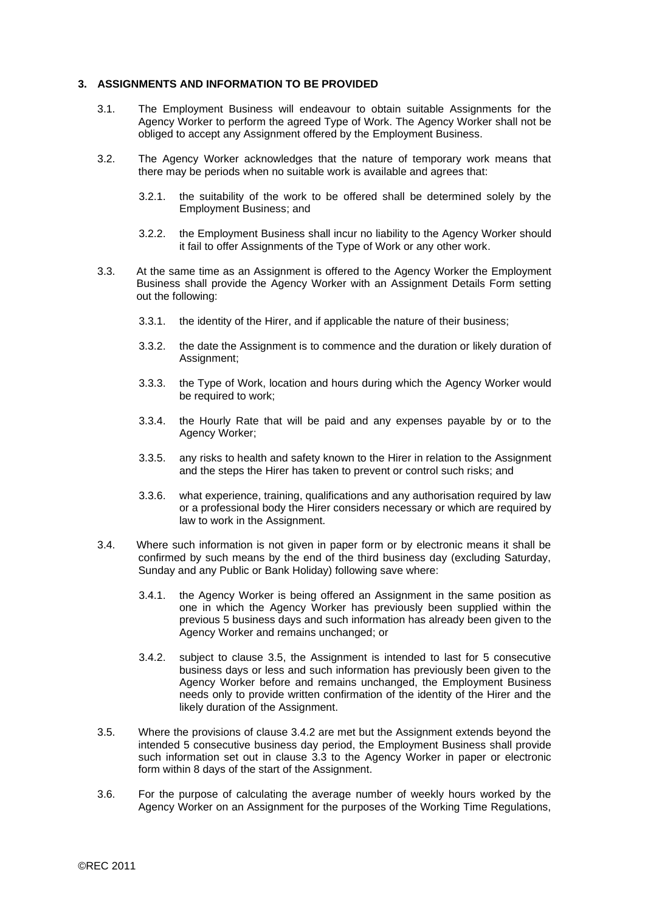#### **3. ASSIGNMENTS AND INFORMATION TO BE PROVIDED**

- 3.1. The Employment Business will endeavour to obtain suitable Assignments for the Agency Worker to perform the agreed Type of Work. The Agency Worker shall not be obliged to accept any Assignment offered by the Employment Business.
- 3.2. The Agency Worker acknowledges that the nature of temporary work means that there may be periods when no suitable work is available and agrees that:
	- 3.2.1. the suitability of the work to be offered shall be determined solely by the Employment Business; and
	- 3.2.2. the Employment Business shall incur no liability to the Agency Worker should it fail to offer Assignments of the Type of Work or any other work.
- 3.3. At the same time as an Assignment is offered to the Agency Worker the Employment Business shall provide the Agency Worker with an Assignment Details Form setting out the following:
	- 3.3.1. the identity of the Hirer, and if applicable the nature of their business;
	- 3.3.2. the date the Assignment is to commence and the duration or likely duration of Assignment;
	- 3.3.3. the Type of Work, location and hours during which the Agency Worker would be required to work;
	- 3.3.4. the Hourly Rate that will be paid and any expenses payable by or to the Agency Worker;
	- 3.3.5. any risks to health and safety known to the Hirer in relation to the Assignment and the steps the Hirer has taken to prevent or control such risks; and
	- 3.3.6. what experience, training, qualifications and any authorisation required by law or a professional body the Hirer considers necessary or which are required by law to work in the Assignment.
- 3.4. Where such information is not given in paper form or by electronic means it shall be confirmed by such means by the end of the third business day (excluding Saturday, Sunday and any Public or Bank Holiday) following save where:
	- 3.4.1. the Agency Worker is being offered an Assignment in the same position as one in which the Agency Worker has previously been supplied within the previous 5 business days and such information has already been given to the Agency Worker and remains unchanged; or
	- 3.4.2. subject to clause 3.5, the Assignment is intended to last for 5 consecutive business days or less and such information has previously been given to the Agency Worker before and remains unchanged, the Employment Business needs only to provide written confirmation of the identity of the Hirer and the likely duration of the Assignment.
- 3.5. Where the provisions of clause 3.4.2 are met but the Assignment extends beyond the intended 5 consecutive business day period, the Employment Business shall provide such information set out in clause 3.3 to the Agency Worker in paper or electronic form within 8 days of the start of the Assignment.
- 3.6. For the purpose of calculating the average number of weekly hours worked by the Agency Worker on an Assignment for the purposes of the Working Time Regulations,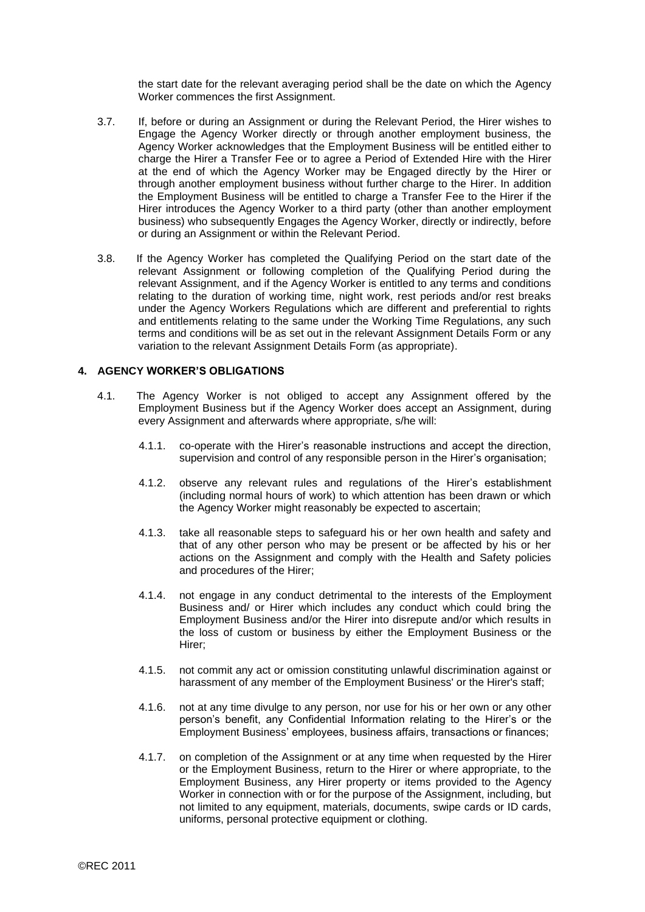the start date for the relevant averaging period shall be the date on which the Agency Worker commences the first Assignment.

- <span id="page-5-0"></span>3.7. If, before or during an Assignment or during the Relevant Period, the Hirer wishes to Engage the Agency Worker directly or through another employment business, the Agency Worker acknowledges that the Employment Business will be entitled either to charge the Hirer a Transfer Fee or to agree a Period of Extended Hire with the Hirer at the end of which the Agency Worker may be Engaged directly by the Hirer or through another employment business without further charge to the Hirer. In addition the Employment Business will be entitled to charge a Transfer Fee to the Hirer if the Hirer introduces the Agency Worker to a third party (other than another employment business) who subsequently Engages the Agency Worker, directly or indirectly, before or during an Assignment or within the Relevant Period.
- 3.8. If the Agency Worker has completed the Qualifying Period on the start date of the relevant Assignment or following completion of the Qualifying Period during the relevant Assignment, and if the Agency Worker is entitled to any terms and conditions relating to the duration of working time, night work, rest periods and/or rest breaks under the Agency Workers Regulations which are different and preferential to rights and entitlements relating to the same under the Working Time Regulations, any such terms and conditions will be as set out in the relevant Assignment Details Form or any variation to the relevant Assignment Details Form (as appropriate).

#### **4. AGENCY WORKER'S OBLIGATIONS**

- 4.1. The Agency Worker is not obliged to accept any Assignment offered by the Employment Business but if the Agency Worker does accept an Assignment, during every Assignment and afterwards where appropriate, s/he will:
	- 4.1.1. co-operate with the Hirer's reasonable instructions and accept the direction, supervision and control of any responsible person in the Hirer's organisation;
	- 4.1.2. observe any relevant rules and regulations of the Hirer's establishment (including normal hours of work) to which attention has been drawn or which the Agency Worker might reasonably be expected to ascertain;
	- 4.1.3. take all reasonable steps to safeguard his or her own health and safety and that of any other person who may be present or be affected by his or her actions on the Assignment and comply with the Health and Safety policies and procedures of the Hirer;
	- 4.1.4. not engage in any conduct detrimental to the interests of the Employment Business and/ or Hirer which includes any conduct which could bring the Employment Business and/or the Hirer into disrepute and/or which results in the loss of custom or business by either the Employment Business or the Hirer;
	- 4.1.5. not commit any act or omission constituting unlawful discrimination against or harassment of any member of the Employment Business' or the Hirer's staff;
	- 4.1.6. not at any time divulge to any person, nor use for his or her own or any other person's benefit, any Confidential Information relating to the Hirer's or the Employment Business' employees, business affairs, transactions or finances;
	- 4.1.7. on completion of the Assignment or at any time when requested by the Hirer or the Employment Business, return to the Hirer or where appropriate, to the Employment Business, any Hirer property or items provided to the Agency Worker in connection with or for the purpose of the Assignment, including, but not limited to any equipment, materials, documents, swipe cards or ID cards, uniforms, personal protective equipment or clothing.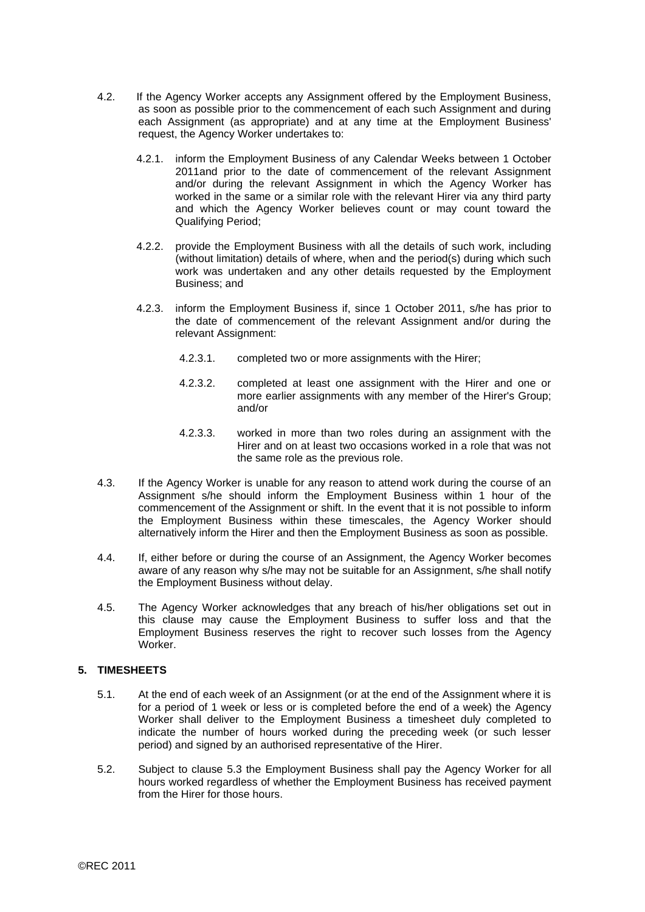- 4.2. If the Agency Worker accepts any Assignment offered by the Employment Business, as soon as possible prior to the commencement of each such Assignment and during each Assignment (as appropriate) and at any time at the Employment Business' request, the Agency Worker undertakes to:
	- 4.2.1. inform the Employment Business of any Calendar Weeks between 1 October 2011and prior to the date of commencement of the relevant Assignment and/or during the relevant Assignment in which the Agency Worker has worked in the same or a similar role with the relevant Hirer via any third party and which the Agency Worker believes count or may count toward the Qualifying Period;
	- 4.2.2. provide the Employment Business with all the details of such work, including (without limitation) details of where, when and the period(s) during which such work was undertaken and any other details requested by the Employment Business; and
	- 4.2.3. inform the Employment Business if, since 1 October 2011, s/he has prior to the date of commencement of the relevant Assignment and/or during the relevant Assignment:
		- 4.2.3.1. completed two or more assignments with the Hirer;
		- 4.2.3.2. completed at least one assignment with the Hirer and one or more earlier assignments with any member of the Hirer's Group; and/or
		- 4.2.3.3. worked in more than two roles during an assignment with the Hirer and on at least two occasions worked in a role that was not the same role as the previous role.
- 4.3. If the Agency Worker is unable for any reason to attend work during the course of an Assignment s/he should inform the Employment Business within 1 hour of the commencement of the Assignment or shift. In the event that it is not possible to inform the Employment Business within these timescales, the Agency Worker should alternatively inform the Hirer and then the Employment Business as soon as possible.
- 4.4. If, either before or during the course of an Assignment, the Agency Worker becomes aware of any reason why s/he may not be suitable for an Assignment, s/he shall notify the Employment Business without delay.
- 4.5. The Agency Worker acknowledges that any breach of his/her obligations set out in this clause may cause the Employment Business to suffer loss and that the Employment Business reserves the right to recover such losses from the Agency Worker.

# **5. TIMESHEETS**

- 5.1. At the end of each week of an Assignment (or at the end of the Assignment where it is for a period of 1 week or less or is completed before the end of a week) the Agency Worker shall deliver to the Employment Business a timesheet duly completed to indicate the number of hours worked during the preceding week (or such lesser period) and signed by an authorised representative of the Hirer.
- 5.2. Subject to clause 5.3 the Employment Business shall pay the Agency Worker for all hours worked regardless of whether the Employment Business has received payment from the Hirer for those hours.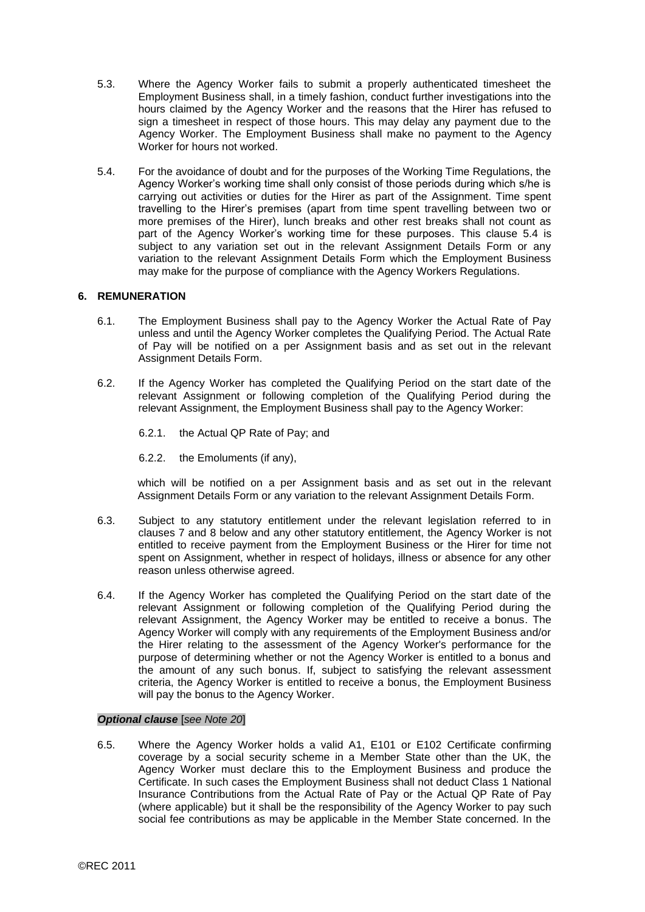- 5.3. Where the Agency Worker fails to submit a properly authenticated timesheet the Employment Business shall, in a timely fashion, conduct further investigations into the hours claimed by the Agency Worker and the reasons that the Hirer has refused to sign a timesheet in respect of those hours. This may delay any payment due to the Agency Worker. The Employment Business shall make no payment to the Agency Worker for hours not worked.
- 5.4. For the avoidance of doubt and for the purposes of the Working Time Regulations, the Agency Worker's working time shall only consist of those periods during which s/he is carrying out activities or duties for the Hirer as part of the Assignment. Time spent travelling to the Hirer's premises (apart from time spent travelling between two or more premises of the Hirer), lunch breaks and other rest breaks shall not count as part of the Agency Worker's working time for these purposes. This clause 5.4 is subject to any variation set out in the relevant Assignment Details Form or any variation to the relevant Assignment Details Form which the Employment Business may make for the purpose of compliance with the Agency Workers Regulations.

## **6. REMUNERATION**

- 6.1. The Employment Business shall pay to the Agency Worker the Actual Rate of Pay unless and until the Agency Worker completes the Qualifying Period. The Actual Rate of Pay will be notified on a per Assignment basis and as set out in the relevant Assignment Details Form.
- 6.2. If the Agency Worker has completed the Qualifying Period on the start date of the relevant Assignment or following completion of the Qualifying Period during the relevant Assignment, the Employment Business shall pay to the Agency Worker:
	- 6.2.1. the Actual QP Rate of Pay; and
	- 6.2.2. the Emoluments (if any),

which will be notified on a per Assignment basis and as set out in the relevant Assignment Details Form or any variation to the relevant Assignment Details Form.

- 6.3. Subject to any statutory entitlement under the relevant legislation referred to in clauses 7 and 8 below and any other statutory entitlement, the Agency Worker is not entitled to receive payment from the Employment Business or the Hirer for time not spent on Assignment, whether in respect of holidays, illness or absence for any other reason unless otherwise agreed.
- 6.4. If the Agency Worker has completed the Qualifying Period on the start date of the relevant Assignment or following completion of the Qualifying Period during the relevant Assignment, the Agency Worker may be entitled to receive a bonus. The Agency Worker will comply with any requirements of the Employment Business and/or the Hirer relating to the assessment of the Agency Worker's performance for the purpose of determining whether or not the Agency Worker is entitled to a bonus and the amount of any such bonus. If, subject to satisfying the relevant assessment criteria, the Agency Worker is entitled to receive a bonus, the Employment Business will pay the bonus to the Agency Worker.

#### *Optional clause* [*see Note 20*]

6.5. Where the Agency Worker holds a valid A1, E101 or E102 Certificate confirming coverage by a social security scheme in a Member State other than the UK, the Agency Worker must declare this to the Employment Business and produce the Certificate. In such cases the Employment Business shall not deduct Class 1 National Insurance Contributions from the Actual Rate of Pay or the Actual QP Rate of Pay (where applicable) but it shall be the responsibility of the Agency Worker to pay such social fee contributions as may be applicable in the Member State concerned. In the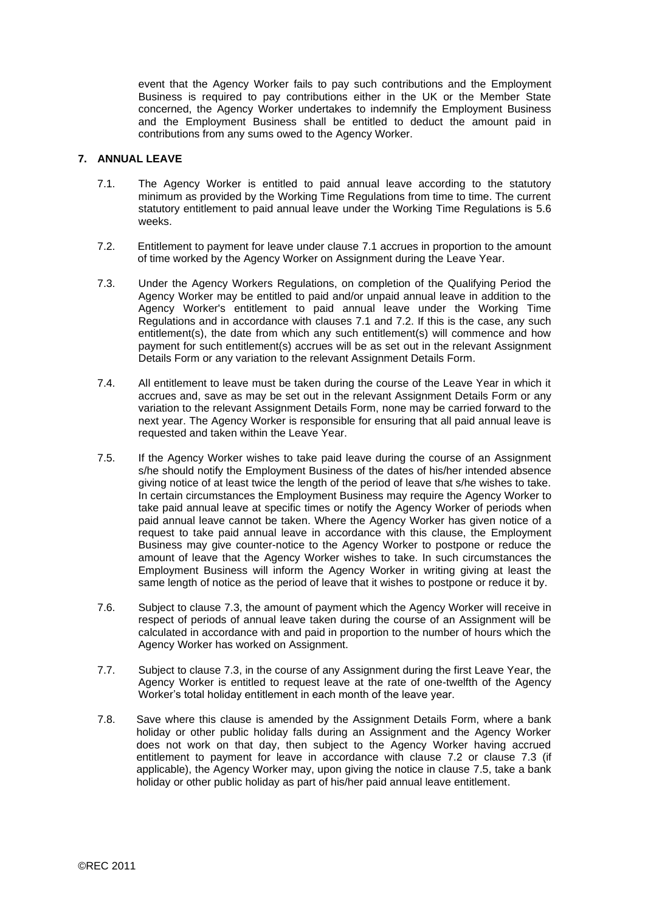event that the Agency Worker fails to pay such contributions and the Employment Business is required to pay contributions either in the UK or the Member State concerned, the Agency Worker undertakes to indemnify the Employment Business and the Employment Business shall be entitled to deduct the amount paid in contributions from any sums owed to the Agency Worker.

## **7. ANNUAL LEAVE**

- <span id="page-8-0"></span>7.1. The Agency Worker is entitled to paid annual leave according to the statutory minimum as provided by the Working Time Regulations from time to time. The current statutory entitlement to paid annual leave under the Working Time Regulations is 5.6 weeks.
- <span id="page-8-1"></span>7.2. Entitlement to payment for leave under clause [7.1](#page-8-0) accrues in proportion to the amount of time worked by the Agency Worker on Assignment during the Leave Year.
- <span id="page-8-2"></span>7.3. Under the Agency Workers Regulations, on completion of the Qualifying Period the Agency Worker may be entitled to paid and/or unpaid annual leave in addition to the Agency Worker's entitlement to paid annual leave under the Working Time Regulations and in accordance with clauses [7.1](#page-8-0) and [7.2.](#page-8-1) If this is the case, any such entitlement(s), the date from which any such entitlement(s) will commence and how payment for such entitlement(s) accrues will be as set out in the relevant Assignment Details Form or any variation to the relevant Assignment Details Form.
- 7.4. All entitlement to leave must be taken during the course of the Leave Year in which it accrues and, save as may be set out in the relevant Assignment Details Form or any variation to the relevant Assignment Details Form, none may be carried forward to the next year. The Agency Worker is responsible for ensuring that all paid annual leave is requested and taken within the Leave Year.
- <span id="page-8-3"></span>7.5. If the Agency Worker wishes to take paid leave during the course of an Assignment s/he should notify the Employment Business of the dates of his/her intended absence giving notice of at least twice the length of the period of leave that s/he wishes to take. In certain circumstances the Employment Business may require the Agency Worker to take paid annual leave at specific times or notify the Agency Worker of periods when paid annual leave cannot be taken. Where the Agency Worker has given notice of a request to take paid annual leave in accordance with this clause, the Employment Business may give counter-notice to the Agency Worker to postpone or reduce the amount of leave that the Agency Worker wishes to take. In such circumstances the Employment Business will inform the Agency Worker in writing giving at least the same length of notice as the period of leave that it wishes to postpone or reduce it by.
- 7.6. Subject to clause [7.3,](#page-8-2) the amount of payment which the Agency Worker will receive in respect of periods of annual leave taken during the course of an Assignment will be calculated in accordance with and paid in proportion to the number of hours which the Agency Worker has worked on Assignment.
- 7.7. Subject to clause [7.3,](#page-8-2) in the course of any Assignment during the first Leave Year, the Agency Worker is entitled to request leave at the rate of one-twelfth of the Agency Worker's total holiday entitlement in each month of the leave year.
- 7.8. Save where this clause is amended by the Assignment Details Form, where a bank holiday or other public holiday falls during an Assignment and the Agency Worker does not work on that day, then subject to the Agency Worker having accrued entitlement to payment for leave in accordance with clause [7.2](#page-8-1) or clause [7.3](#page-8-2) (if applicable), the Agency Worker may, upon giving the notice in clause [7.5,](#page-8-3) take a bank holiday or other public holiday as part of his/her paid annual leave entitlement.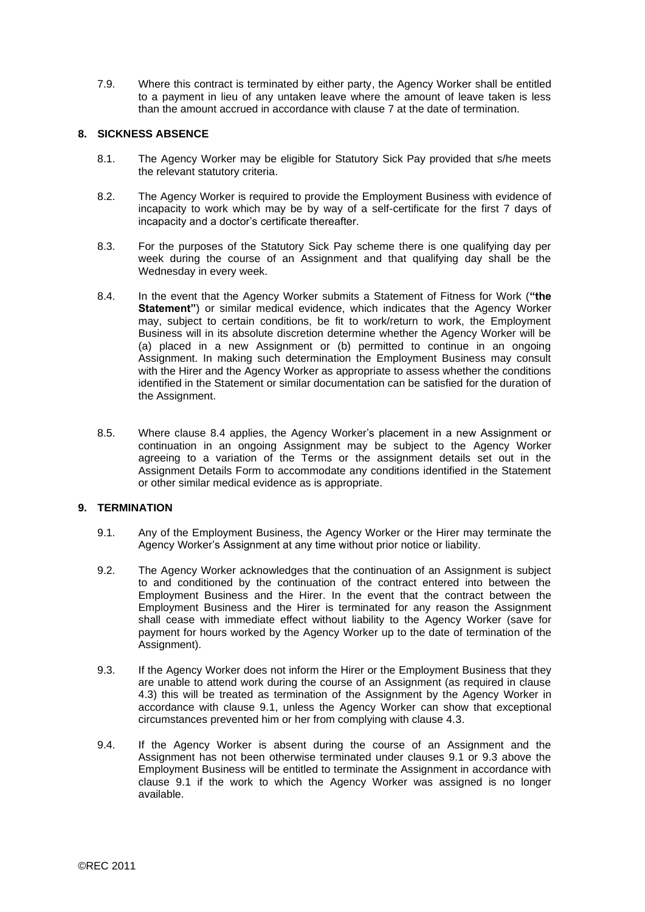7.9. Where this contract is terminated by either party, the Agency Worker shall be entitled to a payment in lieu of any untaken leave where the amount of leave taken is less than the amount accrued in accordance with clause 7 at the date of termination.

## **8. SICKNESS ABSENCE**

- 8.1. The Agency Worker may be eligible for Statutory Sick Pay provided that s/he meets the relevant statutory criteria.
- 8.2. The Agency Worker is required to provide the Employment Business with evidence of incapacity to work which may be by way of a self-certificate for the first 7 days of incapacity and a doctor's certificate thereafter.
- 8.3. For the purposes of the Statutory Sick Pay scheme there is one qualifying day per week during the course of an Assignment and that qualifying day shall be the Wednesday in every week.
- 8.4. In the event that the Agency Worker submits a Statement of Fitness for Work (**"the Statement"**) or similar medical evidence, which indicates that the Agency Worker may, subject to certain conditions, be fit to work/return to work, the Employment Business will in its absolute discretion determine whether the Agency Worker will be (a) placed in a new Assignment or (b) permitted to continue in an ongoing Assignment. In making such determination the Employment Business may consult with the Hirer and the Agency Worker as appropriate to assess whether the conditions identified in the Statement or similar documentation can be satisfied for the duration of the Assignment.
- 8.5. Where clause 8.4 applies, the Agency Worker's placement in a new Assignment or continuation in an ongoing Assignment may be subject to the Agency Worker agreeing to a variation of the Terms or the assignment details set out in the Assignment Details Form to accommodate any conditions identified in the Statement or other similar medical evidence as is appropriate.

### **9. TERMINATION**

- 9.1. Any of the Employment Business, the Agency Worker or the Hirer may terminate the Agency Worker's Assignment at any time without prior notice or liability.
- 9.2. The Agency Worker acknowledges that the continuation of an Assignment is subject to and conditioned by the continuation of the contract entered into between the Employment Business and the Hirer. In the event that the contract between the Employment Business and the Hirer is terminated for any reason the Assignment shall cease with immediate effect without liability to the Agency Worker (save for payment for hours worked by the Agency Worker up to the date of termination of the Assignment).
- 9.3. If the Agency Worker does not inform the Hirer or the Employment Business that they are unable to attend work during the course of an Assignment (as required in clause 4.3) this will be treated as termination of the Assignment by the Agency Worker in accordance with clause 9.1, unless the Agency Worker can show that exceptional circumstances prevented him or her from complying with clause 4.3.
- 9.4. If the Agency Worker is absent during the course of an Assignment and the Assignment has not been otherwise terminated under clauses 9.1 or 9.3 above the Employment Business will be entitled to terminate the Assignment in accordance with clause 9.1 if the work to which the Agency Worker was assigned is no longer available.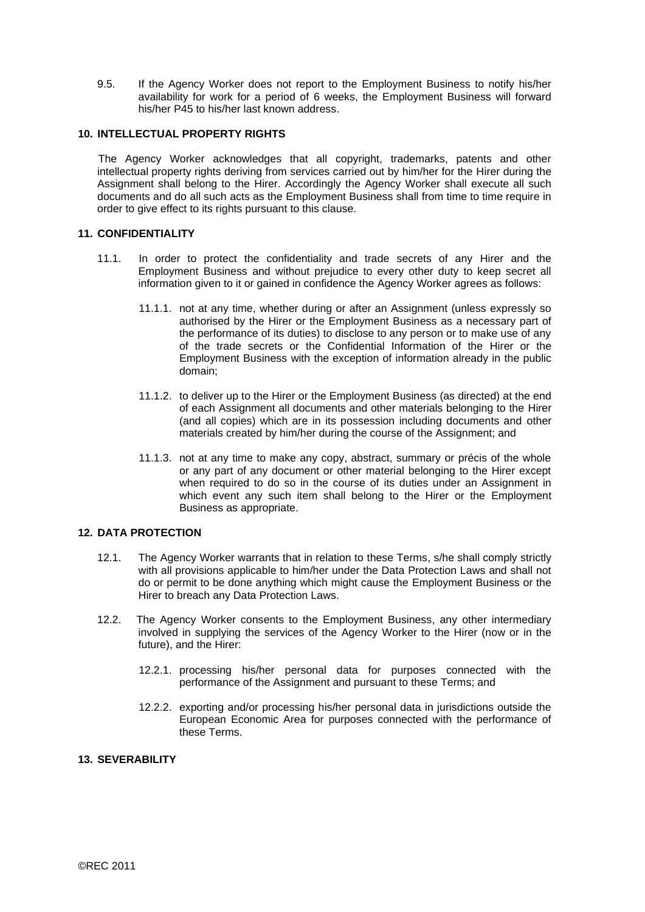9.5. If the Agency Worker does not report to the Employment Business to notify his/her availability for work for a period of 6 weeks, the Employment Business will forward his/her P45 to his/her last known address.

## **10. INTELLECTUAL PROPERTY RIGHTS**

The Agency Worker acknowledges that all copyright, trademarks, patents and other intellectual property rights deriving from services carried out by him/her for the Hirer during the Assignment shall belong to the Hirer. Accordingly the Agency Worker shall execute all such documents and do all such acts as the Employment Business shall from time to time require in order to give effect to its rights pursuant to this clause.

#### **11. CONFIDENTIALITY**

- 11.1. In order to protect the confidentiality and trade secrets of any Hirer and the Employment Business and without prejudice to every other duty to keep secret all information given to it or gained in confidence the Agency Worker agrees as follows:
	- 11.1.1. not at any time, whether during or after an Assignment (unless expressly so authorised by the Hirer or the Employment Business as a necessary part of the performance of its duties) to disclose to any person or to make use of any of the trade secrets or the Confidential Information of the Hirer or the Employment Business with the exception of information already in the public domain;
	- 11.1.2. to deliver up to the Hirer or the Employment Business (as directed) at the end of each Assignment all documents and other materials belonging to the Hirer (and all copies) which are in its possession including documents and other materials created by him/her during the course of the Assignment; and
	- 11.1.3. not at any time to make any copy, abstract, summary or précis of the whole or any part of any document or other material belonging to the Hirer except when required to do so in the course of its duties under an Assignment in which event any such item shall belong to the Hirer or the Employment Business as appropriate.

## **12. DATA PROTECTION**

- 12.1. The Agency Worker warrants that in relation to these Terms, s/he shall comply strictly with all provisions applicable to him/her under the Data Protection Laws and shall not do or permit to be done anything which might cause the Employment Business or the Hirer to breach any Data Protection Laws.
- 12.2. The Agency Worker consents to the Employment Business, any other intermediary involved in supplying the services of the Agency Worker to the Hirer (now or in the future), and the Hirer:
	- 12.2.1. processing his/her personal data for purposes connected with the performance of the Assignment and pursuant to these Terms; and
	- 12.2.2. exporting and/or processing his/her personal data in jurisdictions outside the European Economic Area for purposes connected with the performance of these Terms.

# **13. SEVERABILITY**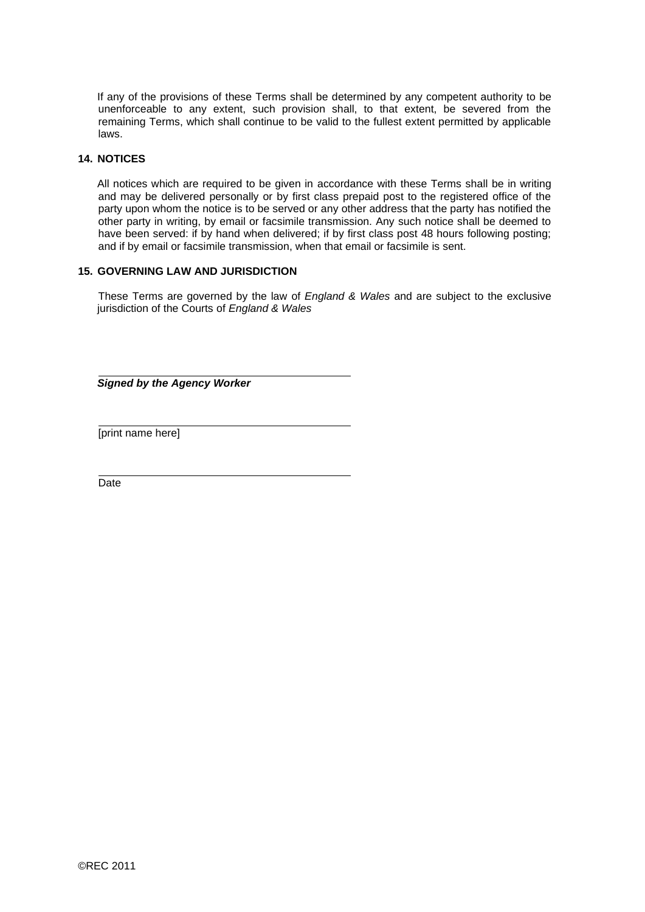If any of the provisions of these Terms shall be determined by any competent authority to be unenforceable to any extent, such provision shall, to that extent, be severed from the remaining Terms, which shall continue to be valid to the fullest extent permitted by applicable laws.

## **14. NOTICES**

All notices which are required to be given in accordance with these Terms shall be in writing and may be delivered personally or by first class prepaid post to the registered office of the party upon whom the notice is to be served or any other address that the party has notified the other party in writing, by email or facsimile transmission. Any such notice shall be deemed to have been served: if by hand when delivered; if by first class post 48 hours following posting; and if by email or facsimile transmission, when that email or facsimile is sent.

# **15. GOVERNING LAW AND JURISDICTION**

These Terms are governed by the law of *England & Wales* and are subject to the exclusive jurisdiction of the Courts of *England & Wales*

*Signed by the Agency Worker* 

[print name here]

**Date**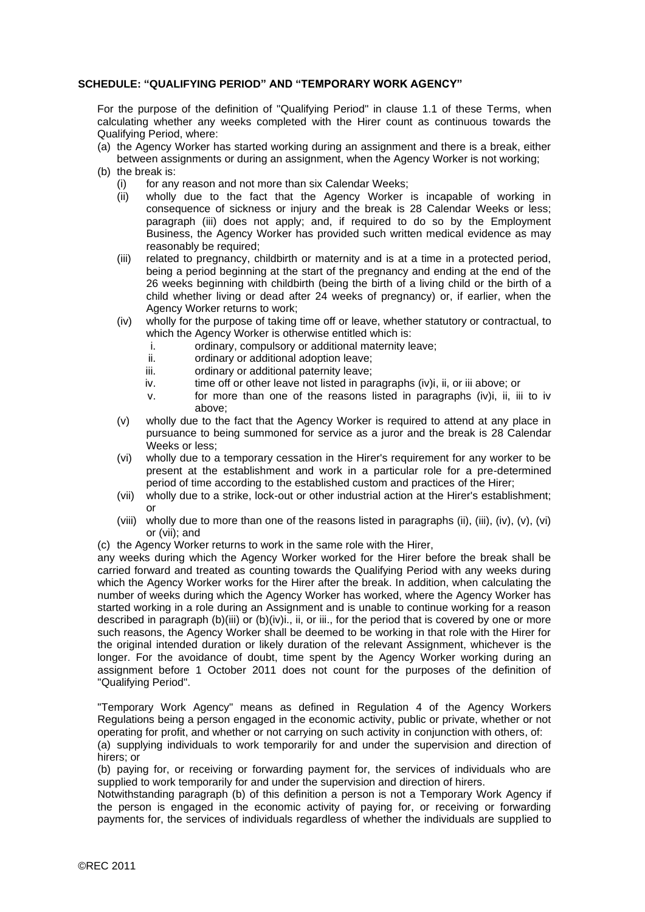### **SCHEDULE: "QUALIFYING PERIOD" AND "TEMPORARY WORK AGENCY"**

For the purpose of the definition of "Qualifying Period" in clause 1.1 of these Terms, when calculating whether any weeks completed with the Hirer count as continuous towards the Qualifying Period, where:

- (a) the Agency Worker has started working during an assignment and there is a break, either between assignments or during an assignment, when the Agency Worker is not working;
- (b) the break is:
	- (i) for any reason and not more than six Calendar Weeks;
	- (ii) wholly due to the fact that the Agency Worker is incapable of working in consequence of sickness or injury and the break is 28 Calendar Weeks or less; paragraph (iii) does not apply; and, if required to do so by the Employment Business, the Agency Worker has provided such written medical evidence as may reasonably be required:
	- (iii) related to pregnancy, childbirth or maternity and is at a time in a protected period, being a period beginning at the start of the pregnancy and ending at the end of the 26 weeks beginning with childbirth (being the birth of a living child or the birth of a child whether living or dead after 24 weeks of pregnancy) or, if earlier, when the Agency Worker returns to work;
	- (iv) wholly for the purpose of taking time off or leave, whether statutory or contractual, to which the Agency Worker is otherwise entitled which is:
		- i. ordinary, compulsory or additional maternity leave;
		- ii. ordinary or additional adoption leave;
		- iii. **ordinary or additional paternity leave:**
		- iv. time off or other leave not listed in paragraphs (iv)i, ii, or iii above; or
		- v. for more than one of the reasons listed in paragraphs (iv)i, ii, iii to iv above;
	- (v) wholly due to the fact that the Agency Worker is required to attend at any place in pursuance to being summoned for service as a juror and the break is 28 Calendar Weeks or less;
	- (vi) wholly due to a temporary cessation in the Hirer's requirement for any worker to be present at the establishment and work in a particular role for a pre-determined period of time according to the established custom and practices of the Hirer;
	- (vii) wholly due to a strike, lock-out or other industrial action at the Hirer's establishment; or
	- (viii) wholly due to more than one of the reasons listed in paragraphs (ii), (iii), (iv), (v), (vi) or (vii); and
- (c) the Agency Worker returns to work in the same role with the Hirer,

any weeks during which the Agency Worker worked for the Hirer before the break shall be carried forward and treated as counting towards the Qualifying Period with any weeks during which the Agency Worker works for the Hirer after the break. In addition, when calculating the number of weeks during which the Agency Worker has worked, where the Agency Worker has started working in a role during an Assignment and is unable to continue working for a reason described in paragraph (b)(iii) or (b)(iv)i., ii, or iii., for the period that is covered by one or more such reasons, the Agency Worker shall be deemed to be working in that role with the Hirer for the original intended duration or likely duration of the relevant Assignment, whichever is the longer. For the avoidance of doubt, time spent by the Agency Worker working during an assignment before 1 October 2011 does not count for the purposes of the definition of "Qualifying Period".

"Temporary Work Agency" means as defined in Regulation 4 of the Agency Workers Regulations being a person engaged in the economic activity, public or private, whether or not operating for profit, and whether or not carrying on such activity in conjunction with others, of:

(a) supplying individuals to work temporarily for and under the supervision and direction of hirers; or

(b) paying for, or receiving or forwarding payment for, the services of individuals who are supplied to work temporarily for and under the supervision and direction of hirers.

Notwithstanding paragraph (b) of this definition a person is not a Temporary Work Agency if the person is engaged in the economic activity of paying for, or receiving or forwarding payments for, the services of individuals regardless of whether the individuals are supplied to